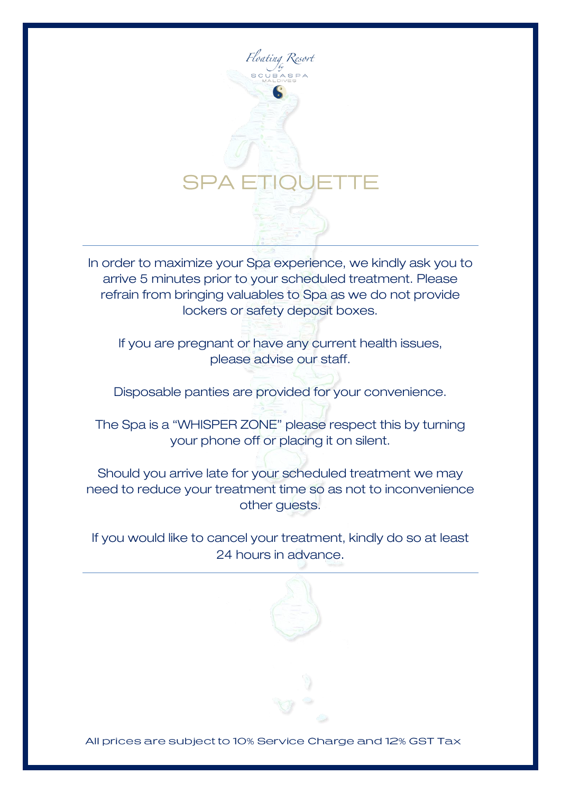

In order to maximize your Spa experience, we kindly ask you to arrive 5 minutes prior to your scheduled treatment. Please refrain from bringing valuables to Spa as we do not provide lockers or safety deposit boxes.

If you are pregnant or have any current health issues, please advise our staff.

Disposable panties are provided for your convenience.

The Spa is a "WHISPER ZONE" please respect this by turning your phone off or placing it on silent.

Should you arrive late for your scheduled treatment we may need to reduce your treatment time so as not to inconvenience other guests.

If you would like to cancel your treatment, kindly do so at least 24 hours in advance.

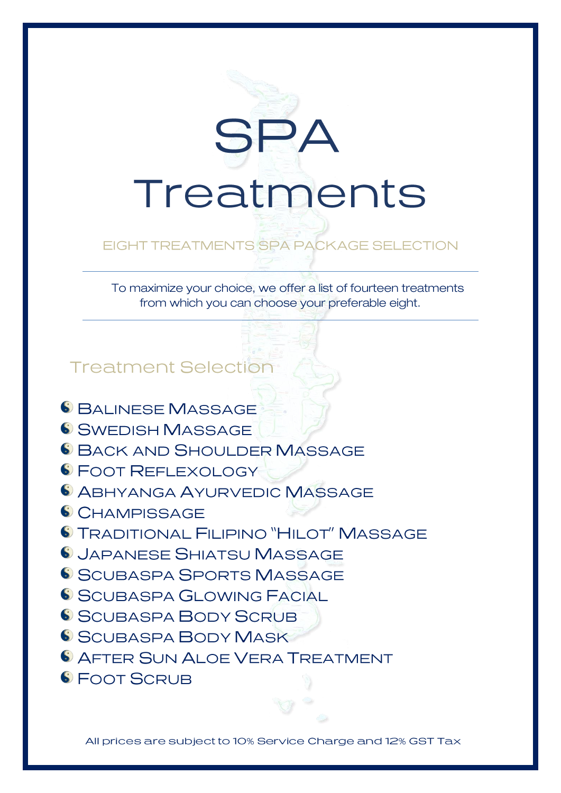

## EIGHT TREATMENTS SPA PACKAGE SELECTION

 To maximize your choice, we offer a list of fourteen treatments from which you can choose your preferable eight.

**Treatment Selection** 

- 6 BALINESE MASSAGE
- S SWEDISH MASSAGE
- **6 BACK AND SHOULDER MASSAGE**
- **S FOOT REFLEXOLOGY**
- **6 ABHYANGA AYURVEDIC MASSAGE**
- CHAMPISSAGE
- 6 TRADITIONAL FILIPINO "HILOT" MASSAGE
- **6 JAPANESE SHIATSU MASSAGE**
- SCUBASPA SPORTS MASSAGE
- S SCUBASPA GLOWING FACIAL
- SCUBASPA BODY SCRUB
- S SCUBASPA BODY MASK
- **6 AFTER SUN ALOE VERA TREATMENT**
- 6 FOOT SCRUB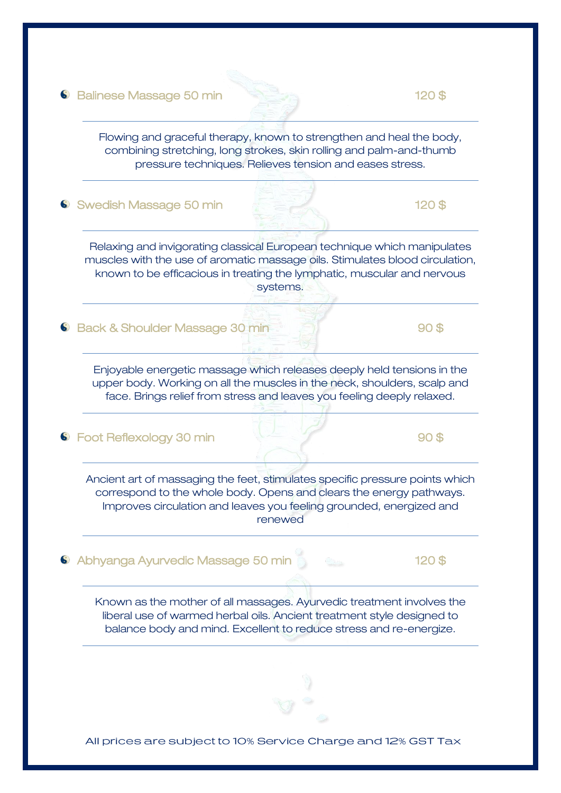#### **C** Balinese Massage 50 min **120 \$** 120 \$

Flowing and graceful therapy, known to strengthen and heal the body, combining stretching, long strokes, skin rolling and palm-and-thumb pressure techniques. Relieves tension and eases stress.

Swedish Massage 50 min 120 \$

Relaxing and invigorating classical European technique which manipulates muscles with the use of aromatic massage oils. Stimulates blood circulation, known to be efficacious in treating the lymphatic, muscular and nervous systems.

6 Back & Shoulder Massage 30 min 90 \$

Enjoyable energetic massage which releases deeply held tensions in the upper body. Working on all the muscles in the neck, shoulders, scalp and face. Brings relief from stress and leaves you feeling deeply relaxed.

G Foot Reflexology 30 min 90 \$

Ancient art of massaging the feet, stimulates specific pressure points which correspond to the whole body. Opens and clears the energy pathways. Improves circulation and leaves you feeling grounded, energized and renewed

6 Abhyanga Ayurvedic Massage 50 min

Known as the mother of all massages. Ayurvedic treatment involves the liberal use of warmed herbal oils. Ancient treatment style designed to balance body and mind. Excellent to reduce stress and re-energize.

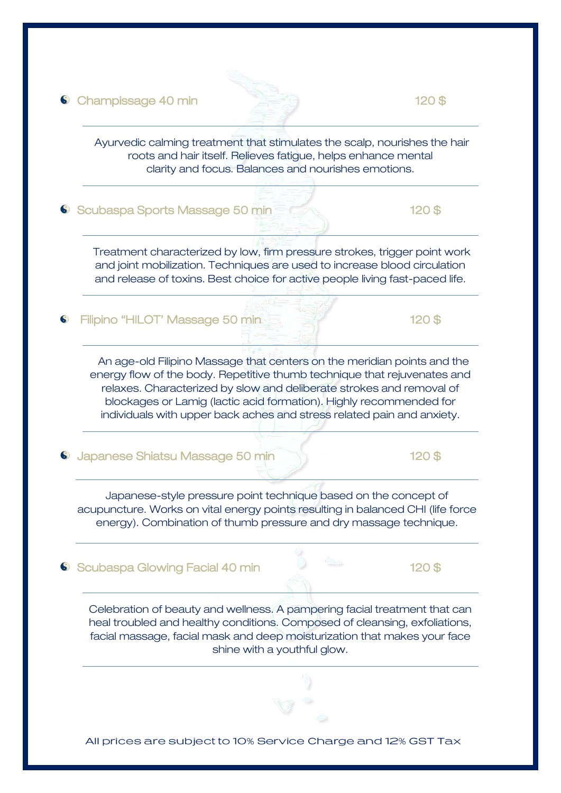Champissage 40 min 120 \$



Ayurvedic calming treatment that stimulates the scalp, nourishes the hair roots and hair itself. Relieves fatigue, helps enhance mental clarity and focus. Balances and nourishes emotions.

6 Scubaspa Sports Massage 50 min **120 \$** 120 \$

Treatment characterized by low, firm pressure strokes, trigger point work and joint mobilization. Techniques are used to increase blood circulation and release of toxins. Best choice for active people living fast-paced life.

Filipino "HILOT' Massage 50 min 120 \$

 An age-old Filipino Massage that centers on the meridian points and the energy flow of the body. Repetitive thumb technique that rejuvenates and relaxes. Characterized by slow and deliberate strokes and removal of blockages or Lamig (lactic acid formation). Highly recommended for individuals with upper back aches and stress related pain and anxiety.

Japanese Shiatsu Massage 50 min 120 \$

Japanese-style pressure point technique based on the concept of acupuncture. Works on vital energy points resulting in balanced CHI (life force energy). Combination of thumb pressure and dry massage technique.

6 Scubaspa Glowing Facial 40 min 120 \$

Celebration of beauty and wellness. A pampering facial treatment that can heal troubled and healthy conditions. Composed of cleansing, exfoliations, facial massage, facial mask and deep moisturization that makes your face shine with a youthful glow.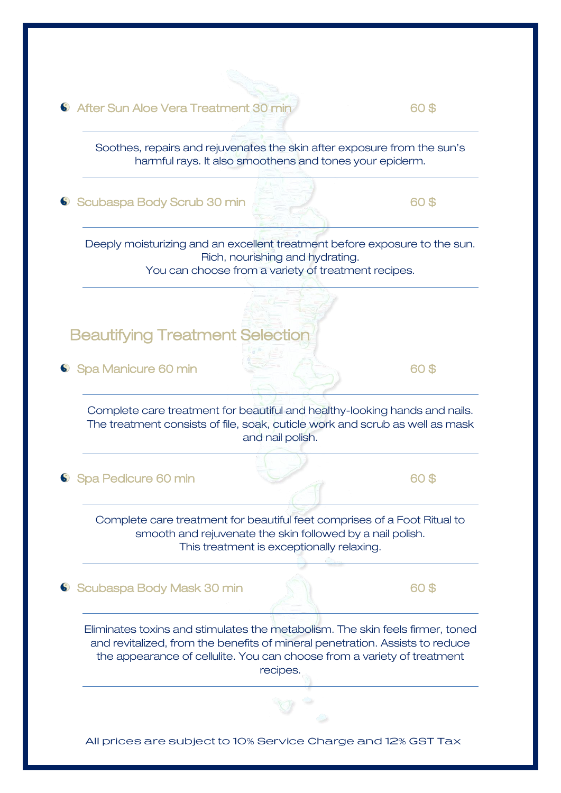60 After Sun Aloe Vera Treatment 30 min 60 \$ Soothes, repairs and rejuvenates the skin after exposure from the sun's harmful rays. It also smoothens and tones your epiderm.

Comparison Scubaspa Body Scrub 30 min **60 \$** 60 \$

Deeply moisturizing and an excellent treatment before exposure to the sun. Rich, nourishing and hydrating.

You can choose from a variety of treatment recipes.

Beautifying Treatment Selection

 $\bullet$  Spa Manicure 60 min 60 \$

Complete care treatment for beautiful and healthy-looking hands and nails. The treatment consists of file, soak, cuticle work and scrub as well as mask and nail polish.

Communication of Spa Pedicure 60 min 60 \$

Complete care treatment for beautiful feet comprises of a Foot Ritual to smooth and rejuvenate the skin followed by a nail polish. This treatment is exceptionally relaxing.

Scubaspa Body Mask 30 min 60 \$

Eliminates toxins and stimulates the metabolism. The skin feels firmer, toned and revitalized, from the benefits of mineral penetration. Assists to reduce the appearance of cellulite. You can choose from a variety of treatment recipes.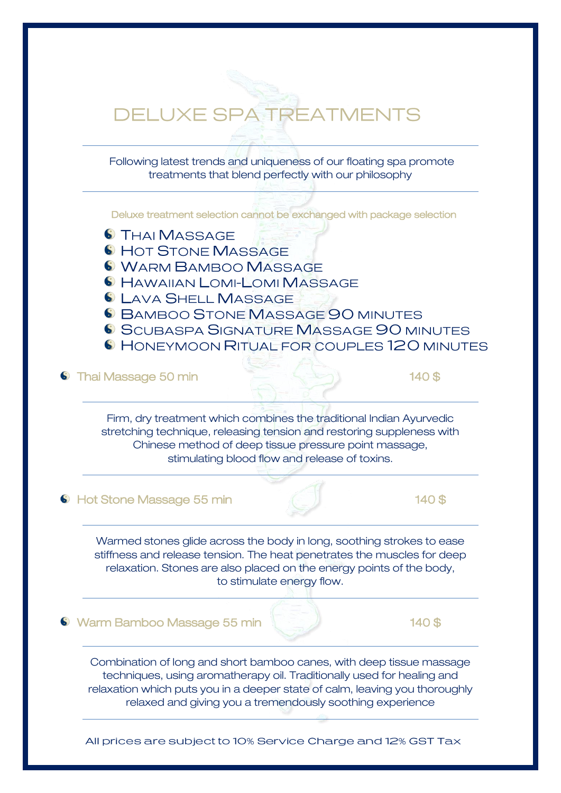# **DELUXE SPA TREATMENTS**

Following latest trends and uniqueness of our floating spa promote treatments that blend perfectly with our philosophy

Deluxe treatment selection cannot be exchanged with package selection

- **S** THAI MASSAGE
- 6 HOT STONE MASSAGE
- WARM BAMBOO MASSAGE
- 6 HAWAIIAN LOMI-LOMI MASSAGE
- **6 LAVA SHELL MASSAGE**
- 6 BAMBOO STONE MASSAGE 90 MINUTES
- 6 SCUBASPA SIGNATURE MASSAGE 90 MINUTES
- 6 HONEYMOON RITUAL FOR COUPLES 120 MINUTES

#### **6** Thai Massage 50 min **140 \$** 140 \$

Firm, dry treatment which combines the traditional Indian Ayurvedic stretching technique, releasing tension and restoring suppleness with Chinese method of deep tissue pressure point massage, stimulating blood flow and release of toxins.

#### **C** Hot Stone Massage 55 min **140 \$**

Warmed stones glide across the body in long, soothing strokes to ease stiffness and release tension. The heat penetrates the muscles for deep relaxation. Stones are also placed on the energy points of the body, to stimulate energy flow.

#### **6** Warm Bamboo Massage 55 min **140 \$** 140 \$

Combination of long and short bamboo canes, with deep tissue massage techniques, using aromatherapy oil. Traditionally used for healing and relaxation which puts you in a deeper state of calm, leaving you thoroughly relaxed and giving you a tremendously soothing experience